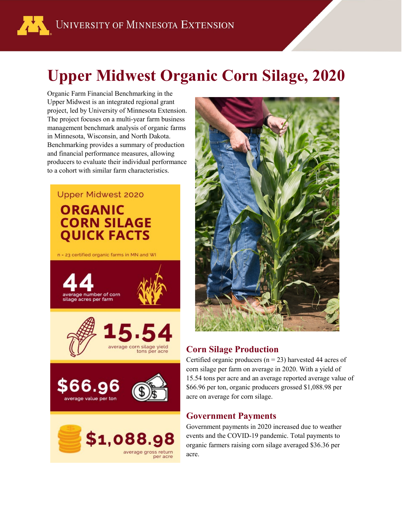# **Upper Midwest Organic Corn Silage, 2020**

Organic Farm Financial Benchmarking in the Upper Midwest is an integrated regional grant project, led by University of Minnesota Extension. The project focuses on a multi-year farm business management benchmark analysis of organic farms in Minnesota, Wisconsin, and North Dakota. Benchmarking provides a summary of production and financial performance measures, allowing producers to evaluate their individual performance to a cohort with similar farm characteristics.

# **Upper Midwest 2020 ORGANIC CORN SILAGE QUICK FACTS**

n - 23 certified organic farms in MN and WI





## **Corn Silage Production**

Certified organic producers ( $n = 23$ ) harvested 44 acres of corn silage per farm on average in 2020. With a yield of 15.54 tons per acre and an average reported average value of \$66.96 per ton, organic producers grossed \$1,088.98 per acre on average for corn silage.

#### **Government Payments**

Government payments in 2020 increased due to weather events and the COVID-19 pandemic. Total payments to organic farmers raising corn silage averaged \$36.36 per acre.